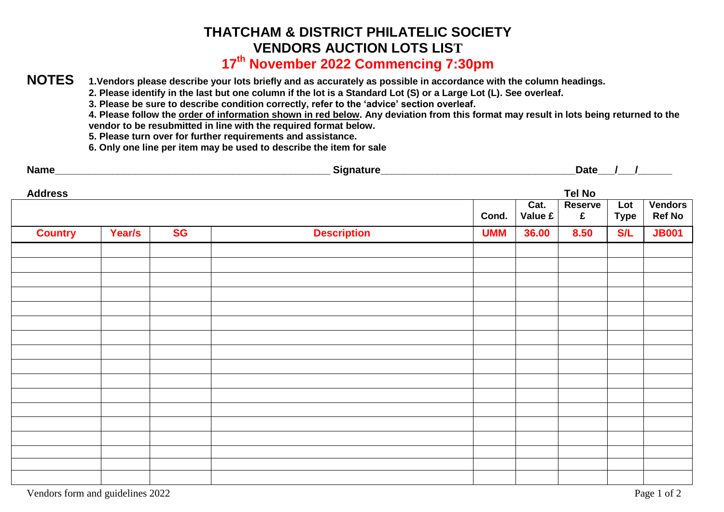# **THATCHAM & DISTRICT PHILATELIC SOCIETY VENDORS AUCTION LOTS LIST**

## **17 th November 2022 Commencing 7:30pm**

### **NOTES 1.Vendors please describe your lots briefly and as accurately as possible in accordance with the column headings.**

**2. Please identify in the last but one column if the lot is a Standard Lot (S) or a Large Lot (L). See overleaf.**

**3. Please be sure to describe condition correctly, refer to the 'advice' section overleaf.**

**4. Please follow the order of information shown in red below. Any deviation from this format may result in lots being returned to the vendor to be resubmitted in line with the required format below.**

**5. Please turn over for further requirements and assistance.**

**6. Only one line per item may be used to describe the item for sale**

| <b>Name</b> | Signature | Date |
|-------------|-----------|------|
|-------------|-----------|------|

| <b>Address</b> |        |           |                    | <b>Tel No</b> |                                       |                               |                    |                                 |  |
|----------------|--------|-----------|--------------------|---------------|---------------------------------------|-------------------------------|--------------------|---------------------------------|--|
|                |        |           |                    | Cond.         | Cat.<br>Value $\boldsymbol{\epsilon}$ | <b>Reserve</b><br>$\mathbf f$ | Lot<br><b>Type</b> | <b>Vendors</b><br><b>Ref No</b> |  |
| <b>Country</b> | Year/s | <b>SG</b> | <b>Description</b> | <b>UMM</b>    | 36.00                                 | 8.50                          | <b>S/L</b>         | <b>JB001</b>                    |  |
|                |        |           |                    |               |                                       |                               |                    |                                 |  |
|                |        |           |                    |               |                                       |                               |                    |                                 |  |
|                |        |           |                    |               |                                       |                               |                    |                                 |  |
|                |        |           |                    |               |                                       |                               |                    |                                 |  |
|                |        |           |                    |               |                                       |                               |                    |                                 |  |
|                |        |           |                    |               |                                       |                               |                    |                                 |  |
|                |        |           |                    |               |                                       |                               |                    |                                 |  |
|                |        |           |                    |               |                                       |                               |                    |                                 |  |
|                |        |           |                    |               |                                       |                               |                    |                                 |  |
|                |        |           |                    |               |                                       |                               |                    |                                 |  |
|                |        |           |                    |               |                                       |                               |                    |                                 |  |
|                |        |           |                    |               |                                       |                               |                    |                                 |  |
|                |        |           |                    |               |                                       |                               |                    |                                 |  |
|                |        |           |                    |               |                                       |                               |                    |                                 |  |
|                |        |           |                    |               |                                       |                               |                    |                                 |  |
|                |        |           |                    |               |                                       |                               |                    |                                 |  |
|                |        |           |                    |               |                                       |                               |                    |                                 |  |